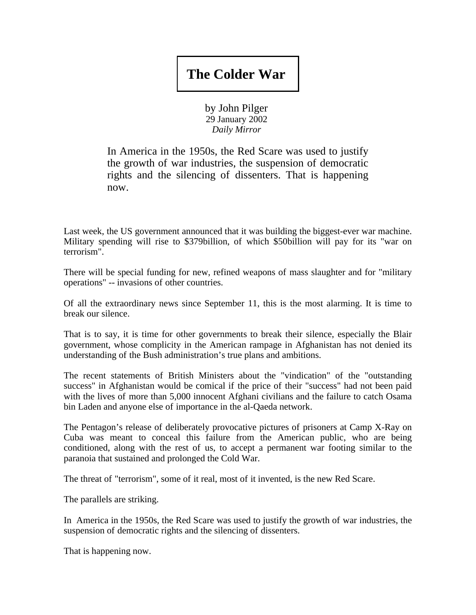## **The Colder War**

by John Pilger 29 January 2002 *Daily Mirror*

In America in the 1950s, the Red Scare was used to justify the growth of war industries, the suspension of democratic rights and the silencing of dissenters. That is happening now.

Last week, the US government announced that it was building the biggest-ever war machine. Military spending will rise to \$379billion, of which \$50billion will pay for its "war on terrorism".

There will be special funding for new, refined weapons of mass slaughter and for "military operations" -- invasions of other countries.

Of all the extraordinary news since September 11, this is the most alarming. It is time to break our silence.

That is to say, it is time for other governments to break their silence, especially the Blair government, whose complicity in the American rampage in Afghanistan has not denied its understanding of the Bush administration's true plans and ambitions.

The recent statements of British Ministers about the "vindication" of the "outstanding success" in Afghanistan would be comical if the price of their "success" had not been paid with the lives of more than 5,000 innocent Afghani civilians and the failure to catch Osama bin Laden and anyone else of importance in the al-Qaeda network.

The Pentagon's release of deliberately provocative pictures of prisoners at Camp X-Ray on Cuba was meant to conceal this failure from the American public, who are being conditioned, along with the rest of us, to accept a permanent war footing similar to the paranoia that sustained and prolonged the Cold War.

The threat of "terrorism", some of it real, most of it invented, is the new Red Scare.

The parallels are striking.

In America in the 1950s, the Red Scare was used to justify the growth of war industries, the suspension of democratic rights and the silencing of dissenters.

That is happening now.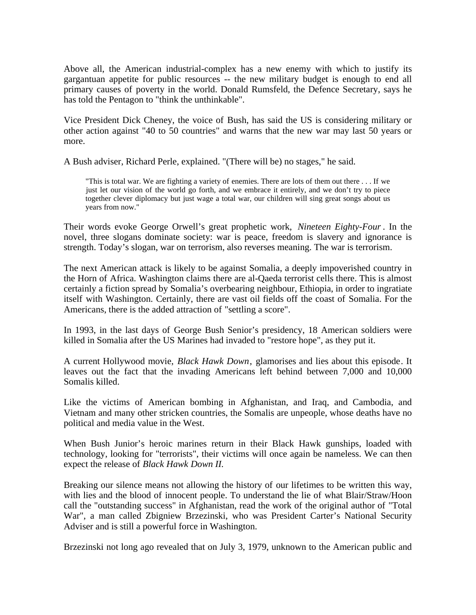Above all, the American industrial-complex has a new enemy with which to justify its gargantuan appetite for public resources -- the new military budget is enough to end all primary causes of poverty in the world. Donald Rumsfeld, the Defence Secretary, says he has told the Pentagon to "think the unthinkable".

Vice President Dick Cheney, the voice of Bush, has said the US is considering military or other action against "40 to 50 countries" and warns that the new war may last 50 years or more.

A Bush adviser, Richard Perle, explained. "(There will be) no stages," he said.

"This is total war. We are fighting a variety of enemies. There are lots of them out there . . . If we just let our vision of the world go forth, and we embrace it entirely, and we don't try to piece together clever diplomacy but just wage a total war, our children will sing great songs about us years from now."

Their words evoke George Orwell's great prophetic work, *Nineteen Eighty-Four* . In the novel, three slogans dominate society: war is peace, freedom is slavery and ignorance is strength. Today's slogan, war on terrorism, also reverses meaning. The war is terrorism.

The next American attack is likely to be against Somalia, a deeply impoverished country in the Horn of Africa. Washington claims there are al-Qaeda terrorist cells there. This is almost certainly a fiction spread by Somalia's overbearing neighbour, Ethiopia, in order to ingratiate itself with Washington. Certainly, there are vast oil fields off the coast of Somalia. For the Americans, there is the added attraction of "settling a score".

In 1993, in the last days of George Bush Senior's presidency, 18 American soldiers were killed in Somalia after the US Marines had invaded to "restore hope", as they put it.

A current Hollywood movie, *Black Hawk Down*, glamorises and lies about this episode. It leaves out the fact that the invading Americans left behind between 7,000 and 10,000 Somalis killed.

Like the victims of American bombing in Afghanistan, and Iraq, and Cambodia, and Vietnam and many other stricken countries, the Somalis are unpeople, whose deaths have no political and media value in the West.

When Bush Junior's heroic marines return in their Black Hawk gunships, loaded with technology, looking for "terrorists", their victims will once again be nameless. We can then expect the release of *Black Hawk Down II.*

Breaking our silence means not allowing the history of our lifetimes to be written this way, with lies and the blood of innocent people. To understand the lie of what Blair/Straw/Hoon call the "outstanding success" in Afghanistan, read the work of the original author of "Total War", a man called Zbigniew Brzezinski, who was President Carter's National Security Adviser and is still a powerful force in Washington.

Brzezinski not long ago revealed that on July 3, 1979, unknown to the American public and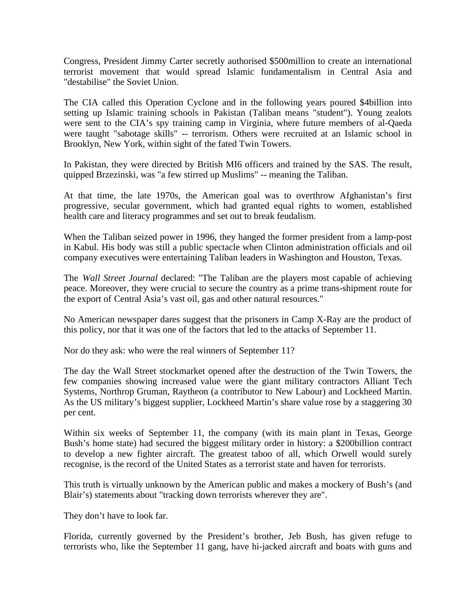Congress, President Jimmy Carter secretly authorised \$500million to create an international terrorist movement that would spread Islamic fundamentalism in Central Asia and "destabilise" the Soviet Union.

The CIA called this Operation Cyclone and in the following years poured \$4billion into setting up Islamic training schools in Pakistan (Taliban means "student"). Young zealots were sent to the CIA's spy training camp in Virginia, where future members of al-Qaeda were taught "sabotage skills" -- terrorism. Others were recruited at an Islamic school in Brooklyn, New York, within sight of the fated Twin Towers.

In Pakistan, they were directed by British MI6 officers and trained by the SAS. The result, quipped Brzezinski, was "a few stirred up Muslims" -- meaning the Taliban.

At that time, the late 1970s, the American goal was to overthrow Afghanistan's first progressive, secular government, which had granted equal rights to women, established health care and literacy programmes and set out to break feudalism.

When the Taliban seized power in 1996, they hanged the former president from a lamp-post in Kabul. His body was still a public spectacle when Clinton administration officials and oil company executives were entertaining Taliban leaders in Washington and Houston, Texas.

The *Wall Street Journal* declared: "The Taliban are the players most capable of achieving peace. Moreover, they were crucial to secure the country as a prime trans-shipment route for the export of Central Asia's vast oil, gas and other natural resources."

No American newspaper dares suggest that the prisoners in Camp X-Ray are the product of this policy, nor that it was one of the factors that led to the attacks of September 11.

Nor do they ask: who were the real winners of September 11?

The day the Wall Street stockmarket opened after the destruction of the Twin Towers, the few companies showing increased value were the giant military contractors Alliant Tech Systems, Northrop Gruman, Raytheon (a contributor to New Labour) and Lockheed Martin. As the US military's biggest supplier, Lockheed Martin's share value rose by a staggering 30 per cent.

Within six weeks of September 11, the company (with its main plant in Texas, George Bush's home state) had secured the biggest military order in history: a \$200billion contract to develop a new fighter aircraft. The greatest taboo of all, which Orwell would surely recognise, is the record of the United States as a terrorist state and haven for terrorists.

This truth is virtually unknown by the American public and makes a mockery of Bush's (and Blair's) statements about "tracking down terrorists wherever they are".

They don't have to look far.

Florida, currently governed by the President's brother, Jeb Bush, has given refuge to terrorists who, like the September 11 gang, have hi-jacked aircraft and boats with guns and